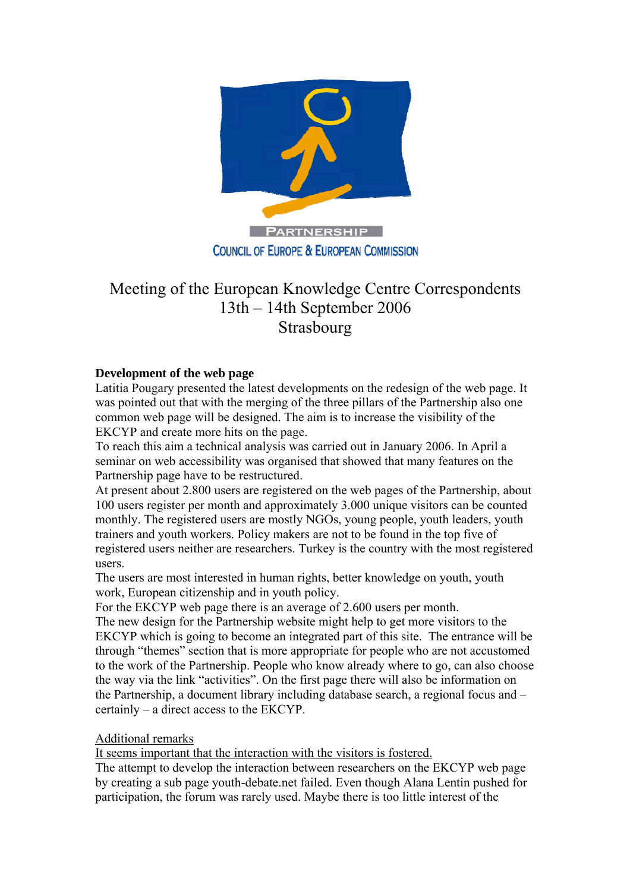

## Meeting of the European Knowledge Centre Correspondents 13th – 14th September 2006 Strasbourg

## **Development of the web page**

Latitia Pougary presented the latest developments on the redesign of the web page. It was pointed out that with the merging of the three pillars of the Partnership also one common web page will be designed. The aim is to increase the visibility of the EKCYP and create more hits on the page.

To reach this aim a technical analysis was carried out in January 2006. In April a seminar on web accessibility was organised that showed that many features on the Partnership page have to be restructured.

At present about 2.800 users are registered on the web pages of the Partnership, about 100 users register per month and approximately 3.000 unique visitors can be counted monthly. The registered users are mostly NGOs, young people, youth leaders, youth trainers and youth workers. Policy makers are not to be found in the top five of registered users neither are researchers. Turkey is the country with the most registered users.

The users are most interested in human rights, better knowledge on youth, youth work, European citizenship and in youth policy.

For the EKCYP web page there is an average of 2.600 users per month.

The new design for the Partnership website might help to get more visitors to the EKCYP which is going to become an integrated part of this site. The entrance will be through "themes" section that is more appropriate for people who are not accustomed to the work of the Partnership. People who know already where to go, can also choose the way via the link "activities". On the first page there will also be information on the Partnership, a document library including database search, a regional focus and – certainly – a direct access to the EKCYP.

## Additional remarks

It seems important that the interaction with the visitors is fostered.

The attempt to develop the interaction between researchers on the EKCYP web page by creating a sub page youth-debate.net failed. Even though Alana Lentin pushed for participation, the forum was rarely used. Maybe there is too little interest of the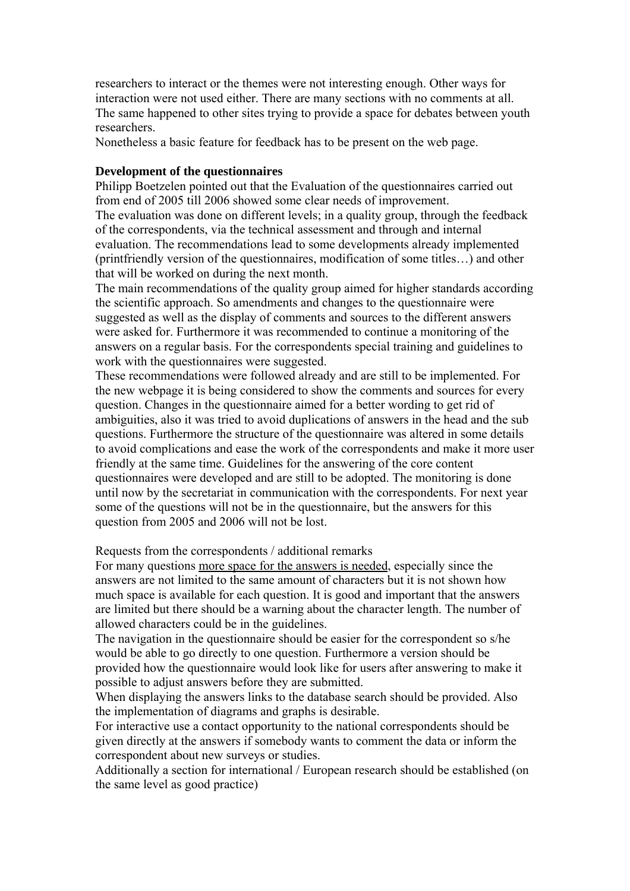researchers to interact or the themes were not interesting enough. Other ways for interaction were not used either. There are many sections with no comments at all. The same happened to other sites trying to provide a space for debates between youth researchers.

Nonetheless a basic feature for feedback has to be present on the web page.

#### **Development of the questionnaires**

Philipp Boetzelen pointed out that the Evaluation of the questionnaires carried out from end of 2005 till 2006 showed some clear needs of improvement. The evaluation was done on different levels; in a quality group, through the feedback of the correspondents, via the technical assessment and through and internal evaluation. The recommendations lead to some developments already implemented (printfriendly version of the questionnaires, modification of some titles…) and other that will be worked on during the next month.

The main recommendations of the quality group aimed for higher standards according the scientific approach. So amendments and changes to the questionnaire were suggested as well as the display of comments and sources to the different answers were asked for. Furthermore it was recommended to continue a monitoring of the answers on a regular basis. For the correspondents special training and guidelines to work with the questionnaires were suggested.

These recommendations were followed already and are still to be implemented. For the new webpage it is being considered to show the comments and sources for every question. Changes in the questionnaire aimed for a better wording to get rid of ambiguities, also it was tried to avoid duplications of answers in the head and the sub questions. Furthermore the structure of the questionnaire was altered in some details to avoid complications and ease the work of the correspondents and make it more user friendly at the same time. Guidelines for the answering of the core content questionnaires were developed and are still to be adopted. The monitoring is done until now by the secretariat in communication with the correspondents. For next year some of the questions will not be in the questionnaire, but the answers for this question from 2005 and 2006 will not be lost.

Requests from the correspondents / additional remarks

For many questions more space for the answers is needed, especially since the answers are not limited to the same amount of characters but it is not shown how much space is available for each question. It is good and important that the answers are limited but there should be a warning about the character length. The number of allowed characters could be in the guidelines.

The navigation in the questionnaire should be easier for the correspondent so s/he would be able to go directly to one question. Furthermore a version should be provided how the questionnaire would look like for users after answering to make it possible to adjust answers before they are submitted.

When displaying the answers links to the database search should be provided. Also the implementation of diagrams and graphs is desirable.

For interactive use a contact opportunity to the national correspondents should be given directly at the answers if somebody wants to comment the data or inform the correspondent about new surveys or studies.

Additionally a section for international / European research should be established (on the same level as good practice)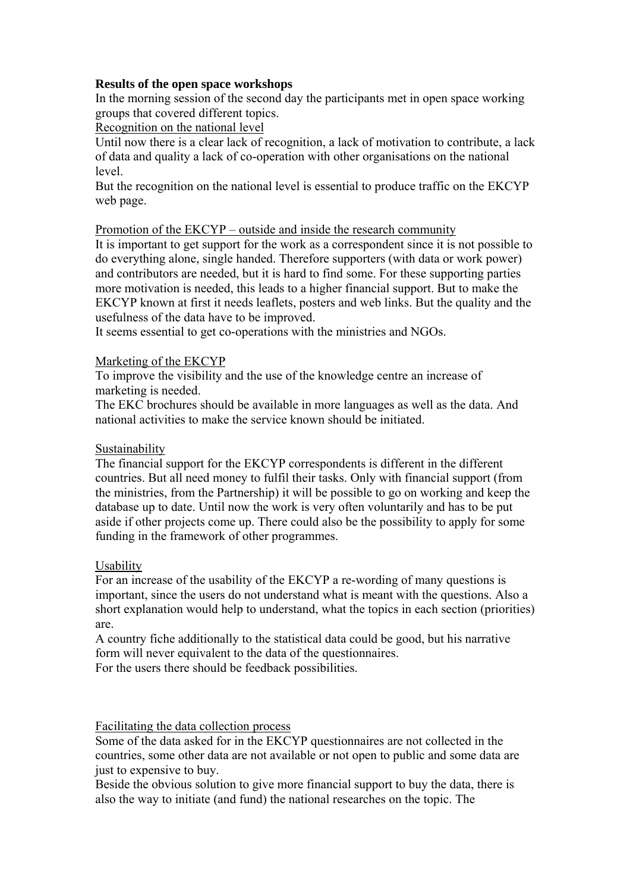## **Results of the open space workshops**

In the morning session of the second day the participants met in open space working groups that covered different topics.

Recognition on the national level

Until now there is a clear lack of recognition, a lack of motivation to contribute, a lack of data and quality a lack of co-operation with other organisations on the national level.

But the recognition on the national level is essential to produce traffic on the EKCYP web page.

## Promotion of the EKCYP – outside and inside the research community

It is important to get support for the work as a correspondent since it is not possible to do everything alone, single handed. Therefore supporters (with data or work power) and contributors are needed, but it is hard to find some. For these supporting parties more motivation is needed, this leads to a higher financial support. But to make the EKCYP known at first it needs leaflets, posters and web links. But the quality and the usefulness of the data have to be improved.

It seems essential to get co-operations with the ministries and NGOs.

## Marketing of the EKCYP

To improve the visibility and the use of the knowledge centre an increase of marketing is needed.

The EKC brochures should be available in more languages as well as the data. And national activities to make the service known should be initiated.

## Sustainability

The financial support for the EKCYP correspondents is different in the different countries. But all need money to fulfil their tasks. Only with financial support (from the ministries, from the Partnership) it will be possible to go on working and keep the database up to date. Until now the work is very often voluntarily and has to be put aside if other projects come up. There could also be the possibility to apply for some funding in the framework of other programmes.

## Usability

For an increase of the usability of the EKCYP a re-wording of many questions is important, since the users do not understand what is meant with the questions. Also a short explanation would help to understand, what the topics in each section (priorities) are.

A country fiche additionally to the statistical data could be good, but his narrative form will never equivalent to the data of the questionnaires.

For the users there should be feedback possibilities.

Facilitating the data collection process

Some of the data asked for in the EKCYP questionnaires are not collected in the countries, some other data are not available or not open to public and some data are just to expensive to buy.

Beside the obvious solution to give more financial support to buy the data, there is also the way to initiate (and fund) the national researches on the topic. The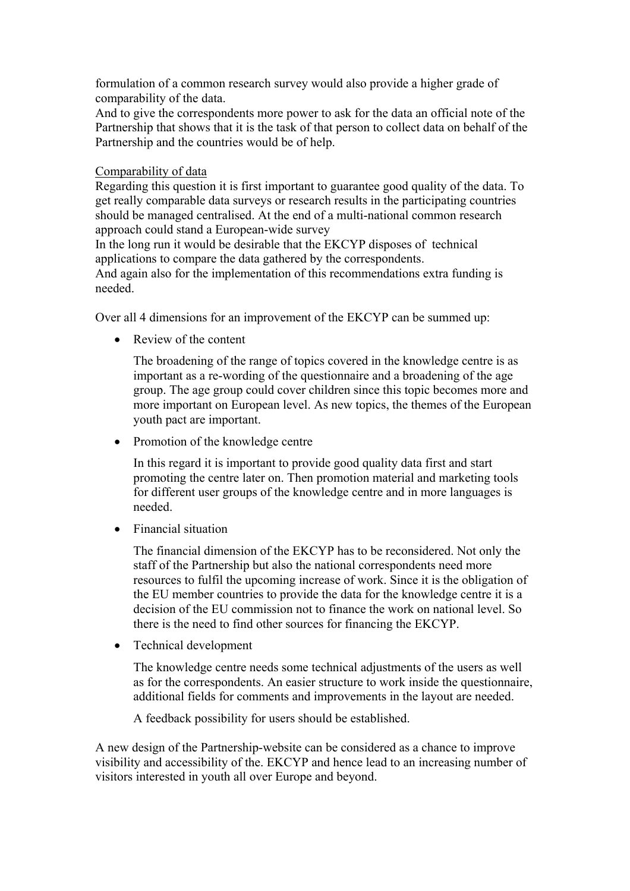formulation of a common research survey would also provide a higher grade of comparability of the data.

And to give the correspondents more power to ask for the data an official note of the Partnership that shows that it is the task of that person to collect data on behalf of the Partnership and the countries would be of help.

## Comparability of data

Regarding this question it is first important to guarantee good quality of the data. To get really comparable data surveys or research results in the participating countries should be managed centralised. At the end of a multi-national common research approach could stand a European-wide survey

In the long run it would be desirable that the EKCYP disposes of technical applications to compare the data gathered by the correspondents.

And again also for the implementation of this recommendations extra funding is needed.

Over all 4 dimensions for an improvement of the EKCYP can be summed up:

• Review of the content

The broadening of the range of topics covered in the knowledge centre is as important as a re-wording of the questionnaire and a broadening of the age group. The age group could cover children since this topic becomes more and more important on European level. As new topics, the themes of the European youth pact are important.

• Promotion of the knowledge centre

In this regard it is important to provide good quality data first and start promoting the centre later on. Then promotion material and marketing tools for different user groups of the knowledge centre and in more languages is needed.

• Financial situation

The financial dimension of the EKCYP has to be reconsidered. Not only the staff of the Partnership but also the national correspondents need more resources to fulfil the upcoming increase of work. Since it is the obligation of the EU member countries to provide the data for the knowledge centre it is a decision of the EU commission not to finance the work on national level. So there is the need to find other sources for financing the EKCYP.

• Technical development

The knowledge centre needs some technical adjustments of the users as well as for the correspondents. An easier structure to work inside the questionnaire, additional fields for comments and improvements in the layout are needed.

A feedback possibility for users should be established.

A new design of the Partnership-website can be considered as a chance to improve visibility and accessibility of the. EKCYP and hence lead to an increasing number of visitors interested in youth all over Europe and beyond.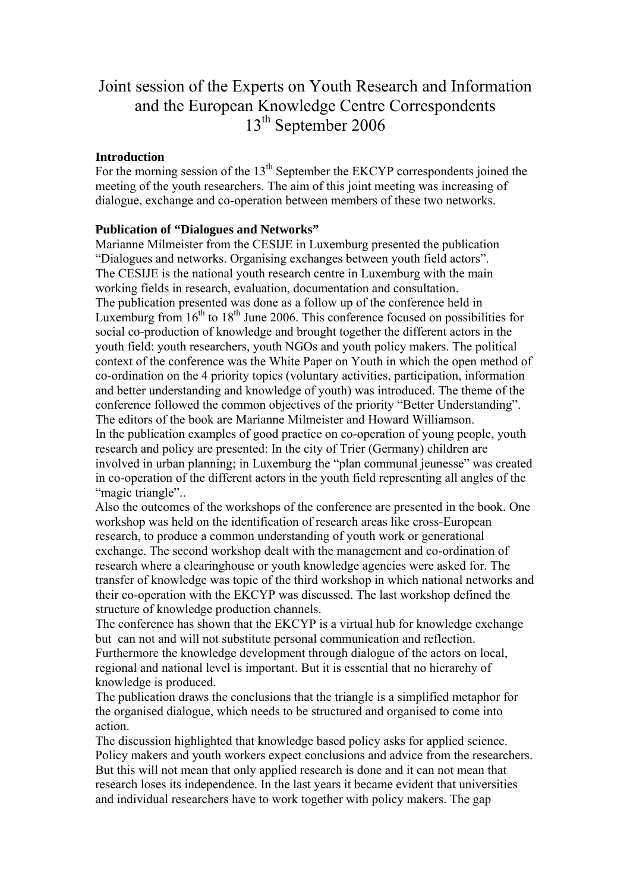## Joint session of the Experts on Youth Research and Information and the European Knowledge Centre Correspondents 13<sup>th</sup> September 2006

## **Introduction**

For the morning session of the  $13<sup>th</sup>$  September the EKCYP correspondents joined the meeting of the youth researchers. The aim of this joint meeting was increasing of dialogue, exchange and co-operation between members of these two networks.

## **Publication of "Dialogues and Networks"**

Marianne Milmeister from the CESIJE in Luxemburg presented the publication "Dialogues and networks. Organising exchanges between youth field actors". The CESIJE is the national youth research centre in Luxemburg with the main working fields in research, evaluation, documentation and consultation. The publication presented was done as a follow up of the conference held in Luxemburg from  $16<sup>th</sup>$  to  $18<sup>th</sup>$  June 2006. This conference focused on possibilities for social co-production of knowledge and brought together the different actors in the youth field: youth researchers, youth NGOs and youth policy makers. The political context of the conference was the White Paper on Youth in which the open method of co-ordination on the 4 priority topics (voluntary activities, participation, information and better understanding and knowledge of youth) was introduced. The theme of the conference followed the common objectives of the priority "Better Understanding". The editors of the book are Marianne Milmeister and Howard Williamson. In the publication examples of good practice on co-operation of young people, youth research and policy are presented: In the city of Trier (Germany) children are involved in urban planning; in Luxemburg the "plan communal jeunesse" was created in co-operation of the different actors in the youth field representing all angles of the "magic triangle"...

Also the outcomes of the workshops of the conference are presented in the book. One workshop was held on the identification of research areas like cross-European research, to produce a common understanding of youth work or generational exchange. The second workshop dealt with the management and co-ordination of research where a clearinghouse or youth knowledge agencies were asked for. The transfer of knowledge was topic of the third workshop in which national networks and their co-operation with the EKCYP was discussed. The last workshop defined the structure of knowledge production channels.

The conference has shown that the EKCYP is a virtual hub for knowledge exchange but can not and will not substitute personal communication and reflection. Furthermore the knowledge development through dialogue of the actors on local, regional and national level is important. But it is essential that no hierarchy of knowledge is produced.

The publication draws the conclusions that the triangle is a simplified metaphor for the organised dialogue, which needs to be structured and organised to come into action.

The discussion highlighted that knowledge based policy asks for applied science. Policy makers and youth workers expect conclusions and advice from the researchers. But this will not mean that only applied research is done and it can not mean that research loses its independence. In the last years it became evident that universities and individual researchers have to work together with policy makers. The gap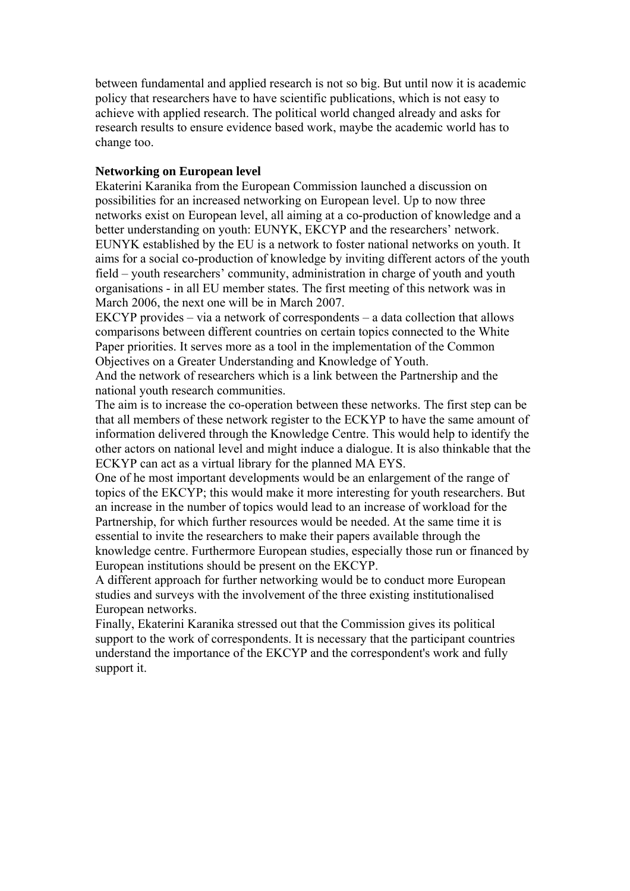between fundamental and applied research is not so big. But until now it is academic policy that researchers have to have scientific publications, which is not easy to achieve with applied research. The political world changed already and asks for research results to ensure evidence based work, maybe the academic world has to change too.

## **Networking on European level**

Ekaterini Karanika from the European Commission launched a discussion on possibilities for an increased networking on European level. Up to now three networks exist on European level, all aiming at a co-production of knowledge and a better understanding on youth: EUNYK, EKCYP and the researchers' network. EUNYK established by the EU is a network to foster national networks on youth. It aims for a social co-production of knowledge by inviting different actors of the youth field – youth researchers' community, administration in charge of youth and youth organisations - in all EU member states. The first meeting of this network was in March 2006, the next one will be in March 2007.

EKCYP provides – via a network of correspondents – a data collection that allows comparisons between different countries on certain topics connected to the White Paper priorities. It serves more as a tool in the implementation of the Common Objectives on a Greater Understanding and Knowledge of Youth.

And the network of researchers which is a link between the Partnership and the national youth research communities.

The aim is to increase the co-operation between these networks. The first step can be that all members of these network register to the ECKYP to have the same amount of information delivered through the Knowledge Centre. This would help to identify the other actors on national level and might induce a dialogue. It is also thinkable that the ECKYP can act as a virtual library for the planned MA EYS.

One of he most important developments would be an enlargement of the range of topics of the EKCYP; this would make it more interesting for youth researchers. But an increase in the number of topics would lead to an increase of workload for the Partnership, for which further resources would be needed. At the same time it is essential to invite the researchers to make their papers available through the knowledge centre. Furthermore European studies, especially those run or financed by European institutions should be present on the EKCYP.

A different approach for further networking would be to conduct more European studies and surveys with the involvement of the three existing institutionalised European networks.

Finally, Ekaterini Karanika stressed out that the Commission gives its political support to the work of correspondents. It is necessary that the participant countries understand the importance of the EKCYP and the correspondent's work and fully support it.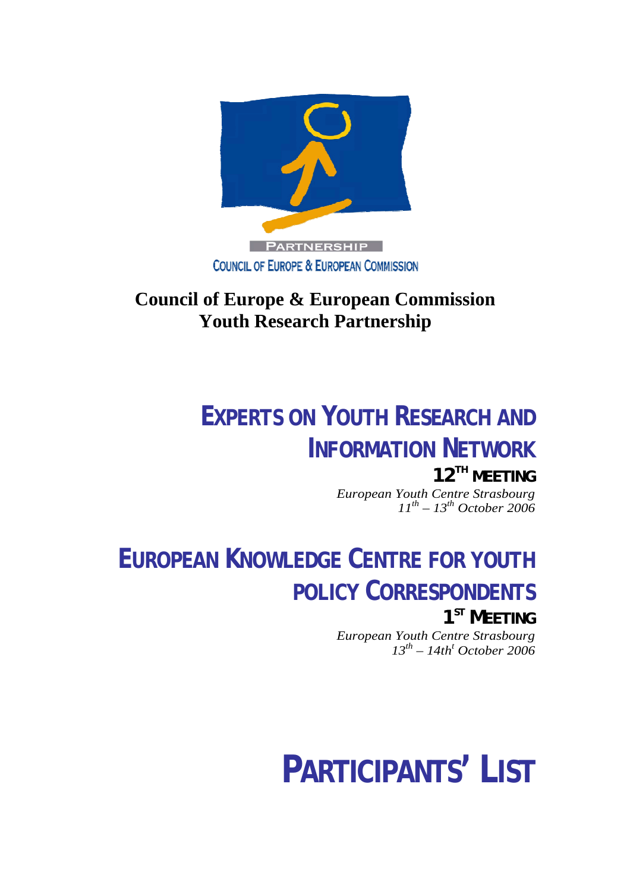

## **Council of Europe & European Commission Youth Research Partnership**

## **EXPERTS ON YOUTH RESEARCH AND INFORMATION NETWORK**

**12TH MEETING** *European Youth Centre Strasbourg 11th – 13th October 2006* 

## **EUROPEAN KNOWLEDGE CENTRE FOR YOUTH POLICY CORRESPONDENTS**

**1ST MEETING** *European Youth Centre Strasbourg 13th – 14tht October 2006*

# **PARTICIPANTS' LIST**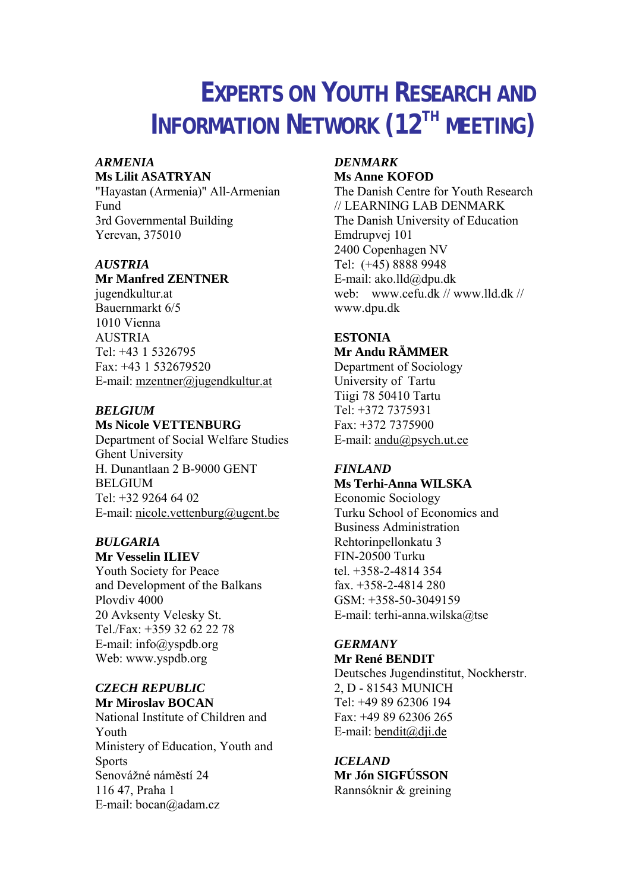## **EXPERTS ON YOUTH RESEARCH AND INFORMATION NETWORK (12<sup>TH</sup> MEETING)**

#### *ARMENIA* **Ms Lilit ASATRYAN**

"Hayastan (Armenia)" All-Armenian Fund 3rd Governmental Building Yerevan, 375010

## *AUSTRIA*

## **Mr Manfred ZENTNER**

jugendkultur.at Bauernmarkt 6/5 1010 Vienna AUSTRIA Tel: +43 1 5326795 Fax: +43 1 532679520 E-mail: mzentner@jugendkultur.at

## *BELGIUM*

**Ms Nicole VETTENBURG**  Department of Social Welfare Studies Ghent University H. Dunantlaan 2 B-9000 GENT BELGIUM Tel: +32 9264 64 02 E-mail: [nicole.vettenburg@ugent.be](mailto:nicole.vettenburg@ugent.be)

## *BULGARIA*

**Mr Vesselin ILIEV**  Youth Society for Peace and Development of the Balkans Plovdiv 4000 20 Avksenty Velesky St. Tel./Fax: +359 32 62 22 78 E-mail: [info@yspdb.org](mailto:info@yspdb.org) Web: [www.yspdb.org](http://www.yspdb.org/)

## *CZECH REPUBLIC*

**Mr Miroslav BOCAN**  National Institute of Children and Youth Ministery of Education, Youth and Sports Senovážné náměstí 24 116 47, Praha 1 E-mail: [bocan@adam.cz](mailto:bocan@adam.cz)

## *DENMARK*  **Ms Anne KOFOD**

The Danish Centre for Youth Research // LEARNING LAB DENMARK The Danish University of Education Emdrupvej 101 2400 Copenhagen NV Tel: (+45) 8888 9948 E-mail: ako.lld@dpu.dk web: [www.cefu.dk](http://www.cefu.dk/) // www.lld.dk // www.dpu.dk

## **ESTONIA Mr Andu RÄMMER**

Department of Sociology University of Tartu Tiigi 78 50410 Tartu Tel: +372 7375931 Fax: +372 7375900 E-mail: [andu@psych.ut.ee](mailto:andu@psych.ut.ee)

## *FINLAND*

**Ms Terhi-Anna WILSKA**  Economic Sociology

Turku School of Economics and Business Administration Rehtorinpellonkatu 3 FIN-20500 Turku tel. +358-2-4814 354 fax  $+358-2-4814280$ GSM: +358-50-3049159 E-mail: [terhi-anna.wilska@tse](mailto:terhi-anna.wilska@tse)

## *GERMANY*

**Mr René BENDIT** 

Deutsches Jugendinstitut, Nockherstr. 2, D - 81543 MUNICH Tel: +49 89 62306 194 Fax: +49 89 62306 265 E-mail: [bendit@dji.de](mailto:bendit@dji.de) 

*ICELAND*  **Mr Jón SIGFÚSSON**  Rannsóknir & greining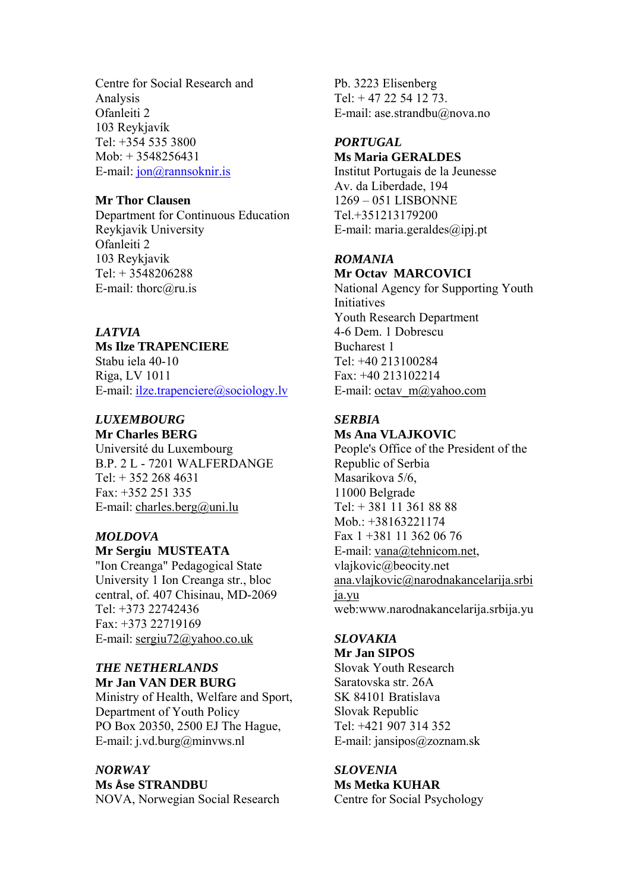Centre for Social Research and Analysis Ofanleiti 2 103 Reykjavík Tel: +354 535 3800 Mob: + 3548256431 E-mail: [jon@rannsoknir.is](mailto:jon@rannsoknir.is)

## **Mr Thor Clausen**

Department for Continuous Education Reykjavik University Ofanleiti 2 103 Reykjavik Tel: + 3548206288 E-mail: thorc@ru.is

## *LATVIA*

## **Ms Ilze TRAPENCIERE**

Stabu iela 40-10 Riga, LV 1011 E-mail: [ilze.trapenciere@sociology.lv](mailto:ilze.trapenciere@sociology.lv) 

## *LUXEMBOURG*

**Mr Charles BERG**  Université du Luxembourg B.P. 2 L - 7201 WALFERDANGE Tel: + 352 268 4631 Fax: +352 251 335 E-mail: [charles.berg@uni.lu](mailto:charles.berg@education.lu)

## *MOLDOVA*

## **Mr Sergiu MUSTEATA**

"Ion Creanga" Pedagogical State University 1 Ion Creanga str., bloc central, of. 407 Chisinau, MD-2069 Tel: +373 22742436 Fax: +373 22719169 E-mail: [sergiu72@yahoo.co.uk](mailto:sergiu72@yahoo.co.uk)

## *THE NETHERLANDS*  **Mr Jan VAN DER BURG**

Ministry of Health, Welfare and Sport, Department of Youth Policy PO Box 20350, 2500 EJ The Hague, E-mail: j.vd.burg@minvws.nl

## *NORWAY*  **Ms Åse STRANDBU**

NOVA, Norwegian Social Research

Pb. 3223 Elisenberg Tel: + 47 22 54 12 73. E-mail: [ase.strandbu@nova.no](mailto:ase.strandbu@nova.no)

## *PORTUGAL*  **Ms Maria GERALDES**

Institut Portugais de la Jeunesse Av. da Liberdade, 194 1269 – 051 LISBONNE Tel.+351213179200 E-mail: maria.geraldes@ipj.pt

## *ROMANIA*

## **Mr Octav MARCOVICI**  National Agency for Supporting Youth

**Initiatives** Youth Research Department 4-6 Dem. 1 Dobrescu Bucharest 1 Tel: +40 213100284 Fax: +40 213102214 E-mail: [octav\\_m@yahoo.com](mailto:octav_m@yahoo.com)

## *SERBIA*

## **Ms Ana VLAJKOVIC**

People's Office of the President of the Republic of Serbia Masarikova 5/6, 11000 Belgrade Tel: + 381 11 361 88 88 Mob.: +38163221174 Fax 1 +381 11 362 06 76 E-mail: [vana@tehnicom.net,](mailto:vana@tehnicom.net) vlajkovic@beocity.net [ana.vlajkovic@narodnakancelarija.srbi](mailto:ana.vlajkovic@narodnakancelarija.srbija.yu) [ja.yu](mailto:ana.vlajkovic@narodnakancelarija.srbija.yu) web:www.narodnakancelarija.srbija.yu

## *SLOVAKIA*

**Mr Jan SIPOS**  Slovak Youth Research Saratovska str. 26A SK 84101 Bratislava Slovak Republic Tel: +421 907 314 352 E-mail: jansipos@zoznam.sk

## *SLOVENIA*

**Ms Metka KUHAR** Centre for Social Psychology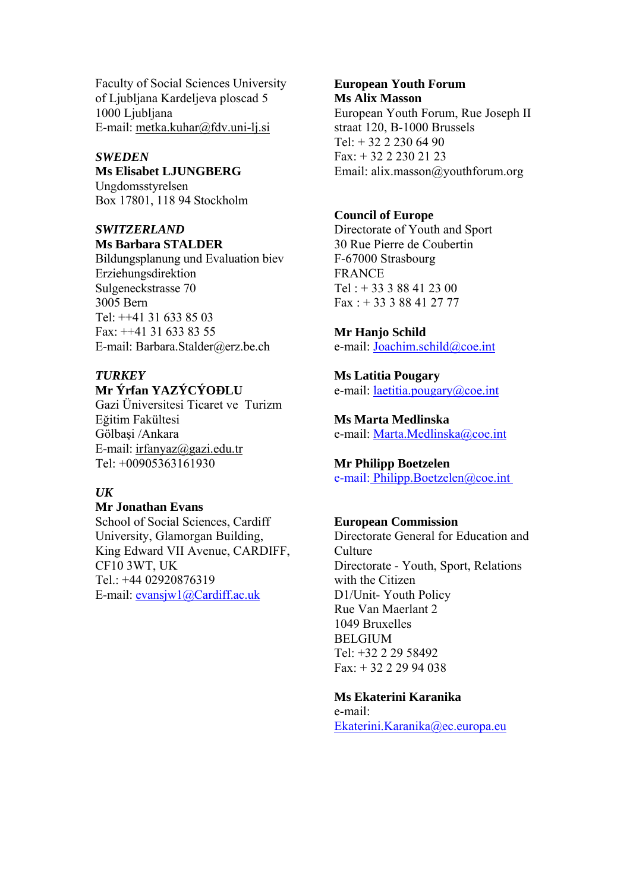Faculty of Social Sciences University of Ljubljana Kardeljeva ploscad 5 1000 Liubliana E-mail: metka.kuhar@fdv.uni-lj.si

## *SWEDEN*

**Ms Elisabet LJUNGBERG** Ungdomsstyrelsen Box 17801, 118 94 Stockholm

## *SWITZERLAND*  **Ms Barbara STALDER**

Bildungsplanung und Evaluation biev Erziehungsdirektion Sulgeneckstrasse 70 3005 Bern Tel: ++41 31 633 85 03 Fax: ++41 31 633 83 55 E-mail: Barbara.Stalder@erz.be.ch

## *TURKEY*

## **Mr Ýrfan YAZÝCÝOÐLU**

Gazi Üniversitesi Ticaret ve Turizm Eğitim Fakültesi Gölbaşi /Ankara E-mail: [irfanyaz@gazi.edu.tr](mailto:irfanyaz@gazi.edu.tr) Tel: +00905363161930

## *UK*

#### **Mr Jonathan Evans**

School of Social Sciences, Cardiff University, Glamorgan Building, King Edward VII Avenue, CARDIFF, CF10 3WT, UK Tel.: +44 02920876319 E-mail: [evansjw1@Cardiff.ac.uk](mailto:evansjw1@Cardiff.ac.uk)

## **European Youth Forum Ms Alix Masson**

European Youth Forum, Rue Joseph II straat 120, B-1000 Brussels  $Tel + 32 2 230 64 90$ Fax: + 32 2 230 21 23 Email: alix.masson@youthforum.org

## **Council of Europe**

Directorate of Youth and Sport 30 Rue Pierre de Coubertin F-67000 Strasbourg FRANCE  $Tel : + 333388412300$ Fax : + 33 3 88 41 27 77

#### **Mr Hanjo Schild**

e-mail: [Joachim.schild@coe.int](mailto:Joachim.schild@coe.int)

**Ms Latitia Pougary**  e-mail: [laetitia.pougary@coe.int](mailto:laetitia.pougary@coe.int)

**Ms Marta Medlinska**  e-mail: [Marta.Medlinska@coe.int](mailto:Marta.Medlinska@coe.int)

## **Mr Philipp Boetzelen**

[e-mail: Philipp.Boetzelen@coe.int](mailto:E-mail:%20Philipp.Boetzelen@coe.int) 

### **European Commission**

Directorate General for Education and **Culture** Directorate - Youth, Sport, Relations with the Citizen D1/Unit- Youth Policy Rue Van Maerlant 2 1049 Bruxelles **BELGIUM** Tel: +32 2 29 58492 Fax: + 32 2 29 94 038

### **Ms Ekaterini Karanika**

e-mail: [Ekaterini.Karanika@ec.europa.eu](mailto:Ekaterini.Karanika@ec.europa.eu)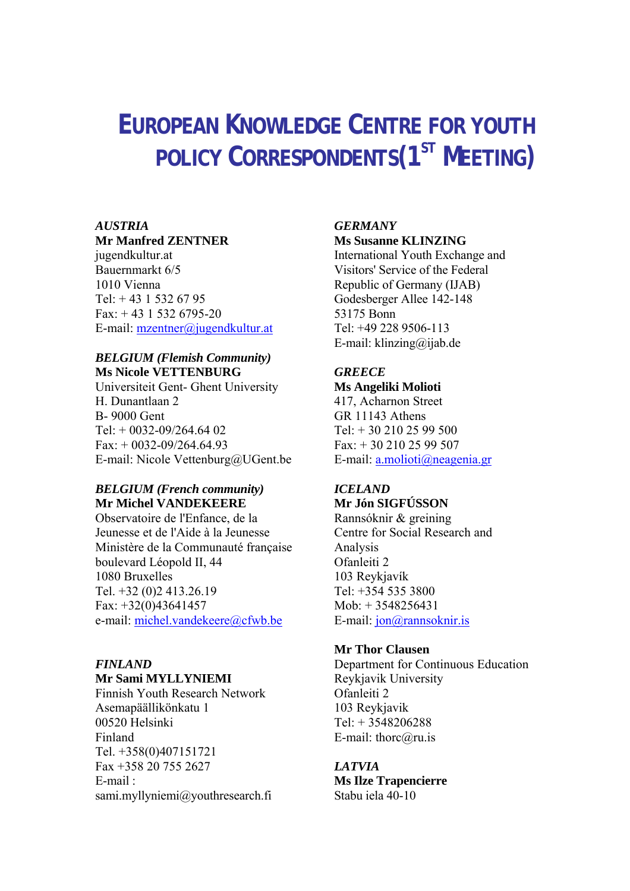## **EUROPEAN KNOWLEDGE CENTRE FOR YOUTH POLICY CORRESPONDENTS(1ST MEETING)**

## *AUSTRIA*

## **Mr Manfred ZENTNER**

jugendkultur.at Bauernmarkt 6/5 1010 Vienna  $Tel + 43 1 532 67 95$ Fax:  $+ 43$  1 532 6795-20 E-mail: mzentner@jugendkultur.at

## *BELGIUM (Flemish Community)*  **Ms Nicole VETTENBURG**

Universiteit Gent- Ghent University H. Dunantlaan 2 B- 9000 Gent Tel:  $+$  0032-09/264.64 02 Fax:  $+0032-09/264.64.93$ E-mail: Nicole Vettenburg@UGent.be

## *BELGIUM (French community)*  **Mr Michel VANDEKEERE**

Observatoire de l'Enfance, de la Jeunesse et de l'Aide à la Jeunesse Ministère de la Communauté française boulevard Léopold II, 44 1080 Bruxelles Tel. +32 (0)2 413.26.19 Fax: +32(0)43641457 e-mail: [michel.vandekeere@cfwb.be](mailto:michel.vandekeere@cfwb.be)

### *FINLAND*  **Mr Sami MYLLYNIEMI**

Finnish Youth Research Network Asemapäällikönkatu 1 00520 Helsinki Finland Tel. +358(0)407151721 Fax +358 20 755 2627 E-mail : sami.myllyniemi@youthresearch.fi

## *GERMANY*

## **Ms Susanne KLINZING**

International Youth Exchange and Visitors' Service of the Federal Republic of Germany (IJAB) Godesberger Allee 142-148 53175 Bonn Tel: +49 228 9506-113 E-mail: [klinzing@ijab.de](mailto:klinzing@ijab.de)

## *GREECE*

**Ms Angeliki Molioti**  417, Acharnon Street GR 11143 Athens Tel: + 30 210 25 99 500 Fax: + 30 210 25 99 507 E-mail: [a.molioti@neagenia.gr](mailto:d.giannaki@neagenia.gr)

#### *ICELAND*  **Mr Jón SIGFÚSSON**

Rannsóknir & greining Centre for Social Research and Analysis Ofanleiti 2 103 Reykjavík Tel:  $+354$  535 3800 Mob: + 3548256431 E-mail: [jon@rannsoknir.is](mailto:jon@rannsoknir.is)

## **Mr Thor Clausen**

Department for Continuous Education Reykjavik University Ofanleiti 2 103 Reykjavik Tel: + 3548206288 E-mail: thorc@ru.is

## *LATVIA*

**Ms Ilze Trapencierre**  Stabu iela 40-10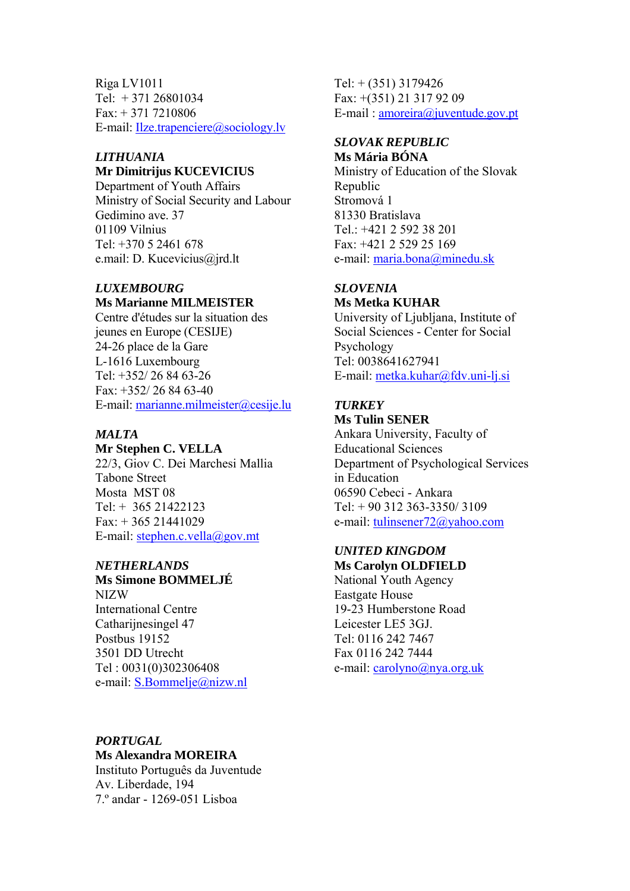Riga LV1011 Tel: + 371 26801034  $Fax + 371 7210806$ E-mail: [Ilze.trapenciere@sociology.lv](mailto:Ilze.trapenciere@sociology.lv)

## *LITHUANIA*

## **Mr Dimitrijus KUCEVICIUS**

Department of Youth Affairs Ministry of Social Security and Labour Gedimino ave. 37 01109 Vilnius Tel: +370 5 2461 678 e.mail: D. Kucevicius@jrd.lt

#### *LUXEMBOURG*  **Ms Marianne MILMEISTER**

Centre d'études sur la situation des jeunes en Europe (CESIJE) 24-26 place de la Gare L-1616 Luxembourg Tel: +352/ 26 84 63-26  $Fax + 352/268463-40$ E-mail: [marianne.milmeister@cesije.lu](mailto:marianne.milmeister@cesije.lu)

## *MALTA*

#### **Mr Stephen C. VELLA**

22/3, Giov C. Dei Marchesi Mallia Tabone Street Mosta MST 08  $Tel + 365 21422123$  $Fax: + 36521441029$ E-mail: [stephen.c.vella@gov.mt](mailto:stephen.c.vella@gov.mt)

## *NETHERLANDS*

## **Ms Simone BOMMELJÉ**

NIZW International Centre Catharijnesingel 47 Postbus 19152 3501 DD Utrecht Tel : 0031(0)302306408 e-mail: [S.Bommelje@nizw.nl](mailto:S.Bommelje@nizw.nl) Tel: + (351) 3179426 Fax: +(351) 21 317 92 09 E-mail : [amoreira@juventude.gov.pt](mailto:amoreira@juventude.gov.pt)

#### *SLOVAK REPUBLIC*  **Ms Mária BÓNA**

Ministry of Education of the Slovak Republic Stromová 1 81330 Bratislava Tel.: +421 2 592 38 201 Fax: +421 2 529 25 169 e-mail: [maria.bona@minedu.sk](mailto:maria.bonova@minedu.sk)

## *SLOVENIA*

**Ms Metka KUHAR** University of Ljubljana, Institute of

Social Sciences - Center for Social Psychology Tel: 0038641627941 E-mail: [metka.kuhar@fdv.uni-lj.si](mailto:metka.kuhar@fdv.uni-lj.si)

## *TURKEY*  **Ms Tulin SENER**

Ankara University, Faculty of Educational Sciences Department of Psychological Services in Education 06590 Cebeci - Ankara  $Tel + 90312363 - 3350/3109$ e-mail: [tulinsener72@yahoo.com](mailto:tulinsener72@yahoo.com)

### *UNITED KINGDOM*  **Ms Carolyn OLDFIELD**

National Youth Agency Eastgate House 19-23 Humberstone Road Leicester LE5 3GJ. Tel: 0116 242 7467 Fax 0116 242 7444 e-mail: [carolyno@nya.org.uk](mailto:carolyno@nya.org.uk)

#### *PORTUGAL*

**Ms Alexandra MOREIRA** 

Instituto Português da Juventude Av. Liberdade, 194 7.º andar - 1269-051 Lisboa